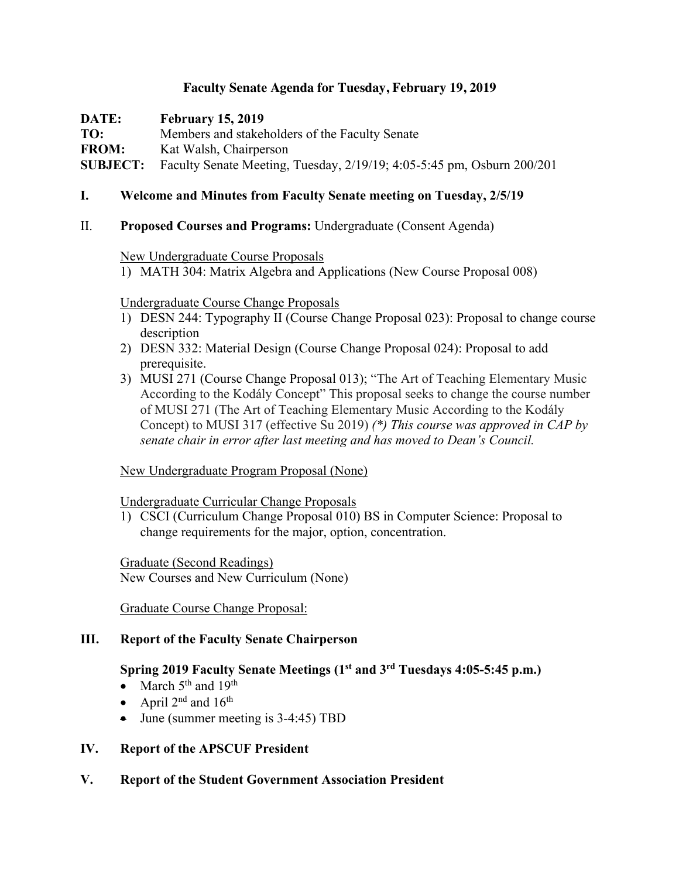# **Faculty Senate Agenda for Tuesday, February 19, 2019**

**DATE: February 15, 2019 TO:** Members and stakeholders of the Faculty Senate **FROM:** Kat Walsh, Chairperson **SUBJECT:** Faculty Senate Meeting, Tuesday, 2/19/19; 4:05-5:45 pm, Osburn 200/201

# **I. Welcome and Minutes from Faculty Senate meeting on Tuesday, 2/5/19**

# II. **Proposed Courses and Programs:** Undergraduate (Consent Agenda)

### New Undergraduate Course Proposals

1) MATH 304: Matrix Algebra and Applications (New Course Proposal 008)

### Undergraduate Course Change Proposals

- 1) DESN 244: Typography II (Course Change Proposal 023): Proposal to change course description
- 2) DESN 332: Material Design (Course Change Proposal 024): Proposal to add prerequisite.
- 3) MUSI 271 (Course Change Proposal 013); "The Art of Teaching Elementary Music According to the Kodály Concept" This proposal seeks to change the course number of MUSI 271 (The Art of Teaching Elementary Music According to the Kodály Concept) to MUSI 317 (effective Su 2019) *(\*) This course was approved in CAP by senate chair in error after last meeting and has moved to Dean's Council.*

# New Undergraduate Program Proposal (None)

#### Undergraduate Curricular Change Proposals

1) CSCI (Curriculum Change Proposal 010) BS in Computer Science: Proposal to change requirements for the major, option, concentration.

Graduate (Second Readings) New Courses and New Curriculum (None)

Graduate Course Change Proposal:

# **III. Report of the Faculty Senate Chairperson**

# **Spring 2019 Faculty Senate Meetings (1st and 3rd Tuesdays 4:05-5:45 p.m.)**

- March  $5<sup>th</sup>$  and  $19<sup>th</sup>$
- April  $2^{nd}$  and  $16^{th}$
- June (summer meeting is 3-4:45) TBD

# **IV. Report of the APSCUF President**

**V. Report of the Student Government Association President**